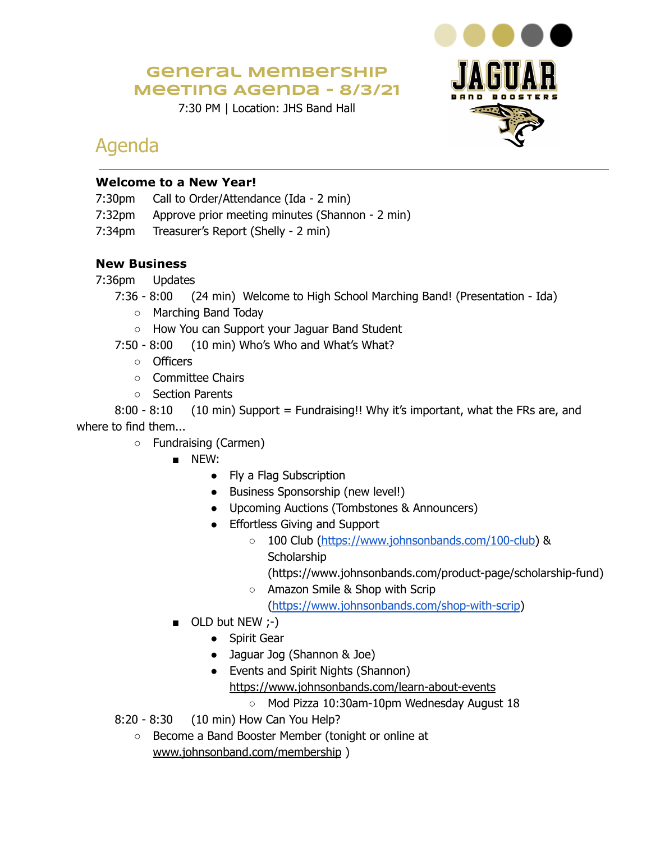### **General Membership Meeting Agenda - 8/3/21**

7:30 PM | Location: JHS Band Hall



## Agenda

#### **Welcome to a New Year!**

- 7:30pm Call to Order/Attendance (Ida 2 min)
- 7:32pm Approve prior meeting minutes (Shannon 2 min)
- 7:34pm Treasurer's Report (Shelly 2 min)

#### **New Business**

- 7:36pm Updates
	- 7:36 8:00 (24 min) Welcome to High School Marching Band! (Presentation Ida)
		- Marching Band Today
		- How You can Support your Jaguar Band Student
	- 7:50 8:00 (10 min) Who's Who and What's What?
		- Officers
		- Committee Chairs
		- Section Parents

8:00 - 8:10 (10 min) Support = Fundraising!! Why it's important, what the FRs are, and where to find them...

- Fundraising (Carmen)
	- NEW:
		- Fly a Flag Subscription
		- Business Sponsorship (new level!)
		- Upcoming Auctions (Tombstones & Announcers)
		- Effortless Giving and Support
			- 100 Club [\(https://www.johnsonbands.com/100-club](https://www.johnsonbands.com/100-club)) & **Scholarship** 
				- (https://www.johnsonbands.com/product-page/scholarship-fund)
			- Amazon Smile & Shop with Scrip [\(https://www.johnsonbands.com/shop-with-scrip](https://www.johnsonbands.com/shop-with-scrip))
	- OLD but NEW ;-)
		- Spirit Gear
		- Jaguar Jog (Shannon & Joe)
		- Events and Spirit Nights (Shannon) <https://www.johnsonbands.com/learn-about-events>
			- Mod Pizza 10:30am-10pm Wednesday August 18
- 8:20 8:30 (10 min) How Can You Help?
	- Become a Band Booster Member (tonight or online at [www.johnsonband.com/membership](http://www.johnsonband.com/membership) )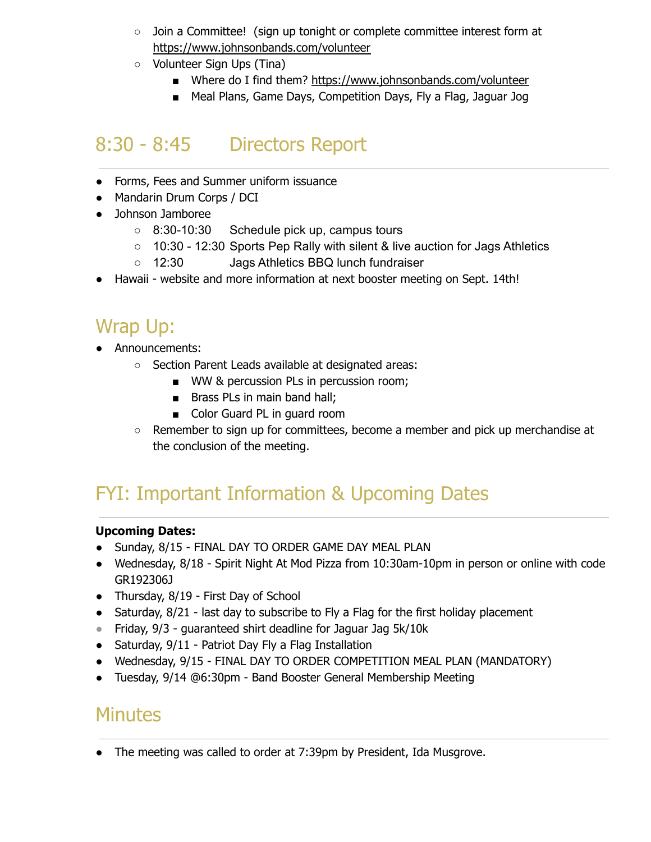- Join a Committee! (sign up tonight or complete committee interest form at <https://www.johnsonbands.com/volunteer>
- Volunteer Sign Ups (Tina)
	- Where do I find them? <https://www.johnsonbands.com/volunteer>
	- Meal Plans, Game Days, Competition Days, Fly a Flag, Jaguar Jog

## 8:30 - 8:45 Directors Report

- Forms, Fees and Summer uniform issuance
- Mandarin Drum Corps / DCI
- Johnson Jamboree
	- 8:30-10:30 Schedule pick up, campus tours
	- 10:30 12:30 Sports Pep Rally with silent & live auction for Jags Athletics
	- 12:30 Jags Athletics BBQ lunch fundraiser
- Hawaii website and more information at next booster meeting on Sept. 14th!

## Wrap Up:

- Announcements:
	- Section Parent Leads available at designated areas:
		- WW & percussion PLs in percussion room;
		- Brass PLs in main band hall;
		- Color Guard PL in guard room
	- Remember to sign up for committees, become a member and pick up merchandise at the conclusion of the meeting.

# FYI: Important Information & Upcoming Dates

#### **Upcoming Dates:**

- Sunday, 8/15 FINAL DAY TO ORDER GAME DAY MEAL PLAN
- Wednesday, 8/18 Spirit Night At Mod Pizza from 10:30am-10pm in person or online with code GR192306J
- Thursday, 8/19 First Day of School
- Saturday, 8/21 last day to subscribe to Fly a Flag for the first holiday placement
- Friday, 9/3 guaranteed shirt deadline for Jaguar Jag 5k/10k
- Saturday, 9/11 Patriot Day Fly a Flag Installation
- Wednesday, 9/15 FINAL DAY TO ORDER COMPETITION MEAL PLAN (MANDATORY)
- Tuesday, 9/14 @6:30pm Band Booster General Membership Meeting

### **Minutes**

• The meeting was called to order at 7:39pm by President, Ida Musgrove.